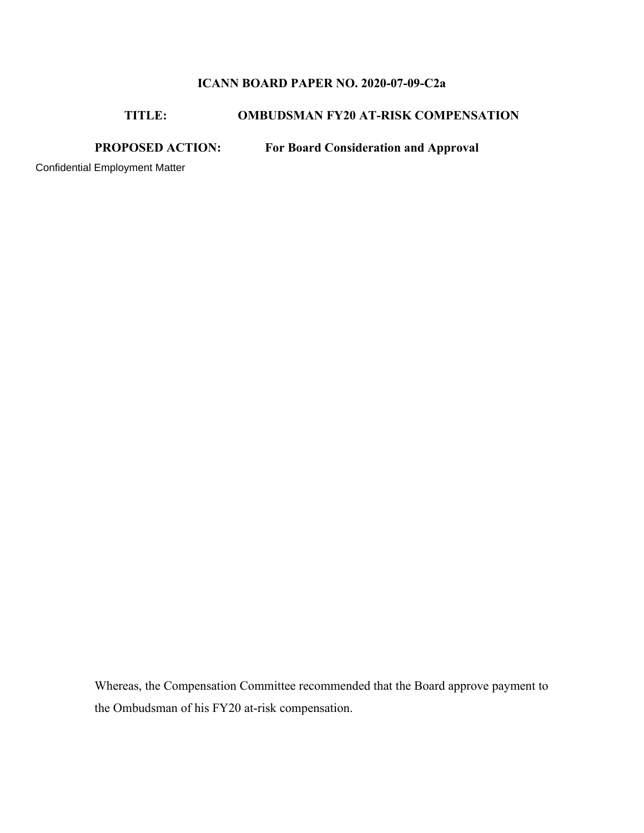### **ICANN BOARD PAPER NO. 2020-07-09-C2a**

#### **TITLE: OMBUDSMAN FY20 AT-RISK COMPENSATION**

## **PROPOSED ACTION: For Board Consideration and Approval**

Confidential Employment Matter

Whereas, the Compensation Committee recommended that the Board approve payment to the Ombudsman of his FY20 at-risk compensation.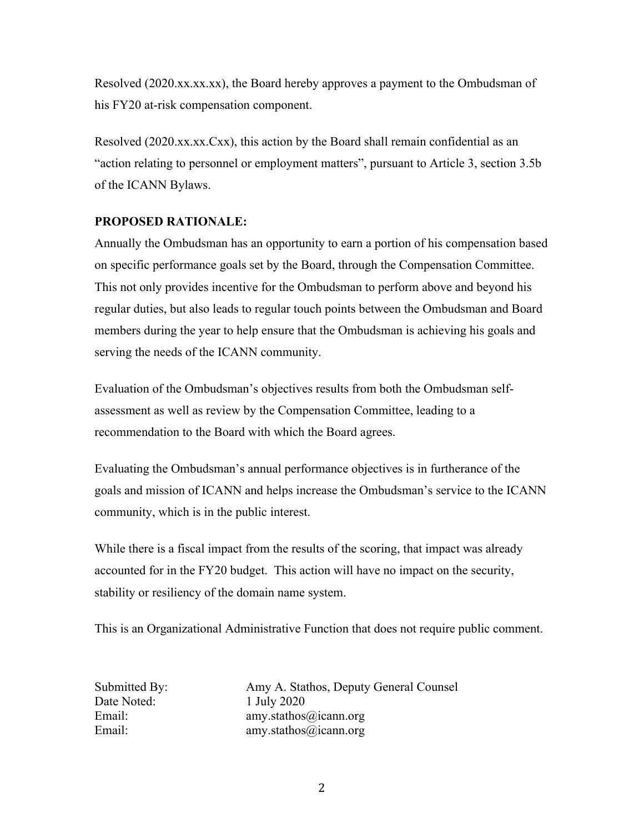Resolved (2020.xx.xx.xx), the Board hereby approves a payment to the Ombudsman of his FY20 at-risk compensation component.

Resolved (2020.xx.xx.Cxx), this action by the Board shall remain confidential as an "action relating to personnel or employment matters", pursuant to Article 3, section 3.5b of the ICANN Bylaws.

#### **PROPOSED RATIONALE:**

Annually the Ombudsman has an opportunity to earn a portion of his compensation based on specific performance goals set by the Board, through the Compensation Committee. This not only provides incentive for the Ombudsman to perform above and beyond his regular duties, but also leads to regular touch points between the Ombudsman and Board members during the year to help ensure that the Ombudsman is achieving his goals and serving the needs of the ICANN community.

Evaluation of the Ombudsman's objectives results from both the Ombudsman selfassessment as well as review by the Compensation Committee, leading to a recommendation to the Board with which the Board agrees.

Evaluating the Ombudsman's annual performance objectives is in furtherance of the goals and mission of ICANN and helps increase the Ombudsman's service to the ICANN community, which is in the public interest.

While there is a fiscal impact from the results of the scoring, that impact was already accounted for in the FY20 budget. This action will have no impact on the security, stability or resiliency of the domain name system.

This is an Organizational Administrative Function that does not require public comment.

Date Noted: 1 July 2020

Submitted By: Amy A. Stathos, Deputy General Counsel Email: amy.stathos@icann.org Email: amy.stathos@icann.org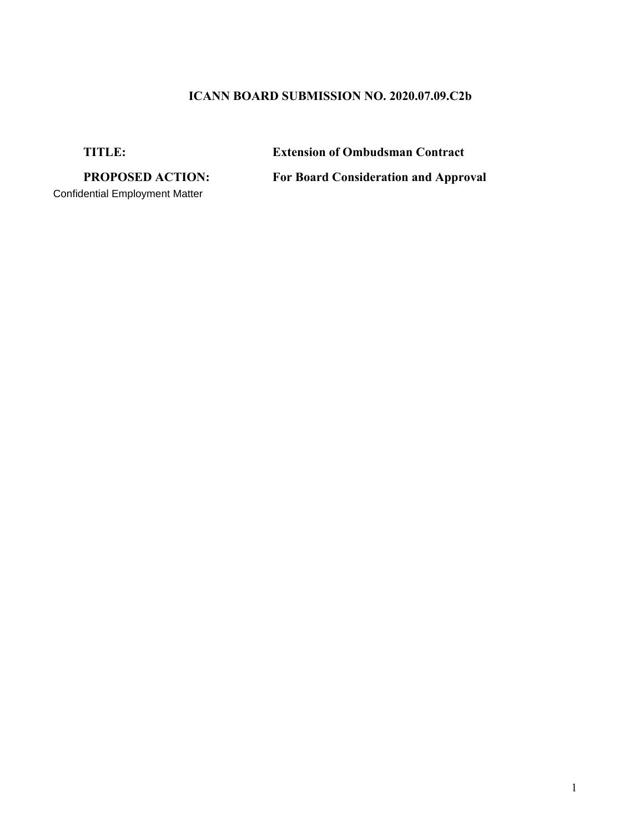# **ICANN BOARD SUBMISSION NO. 2020.07.09.C2b**

**TITLE: Extension of Ombudsman Contract**

Confidential Employment Matter

**PROPOSED ACTION: For Board Consideration and Approval**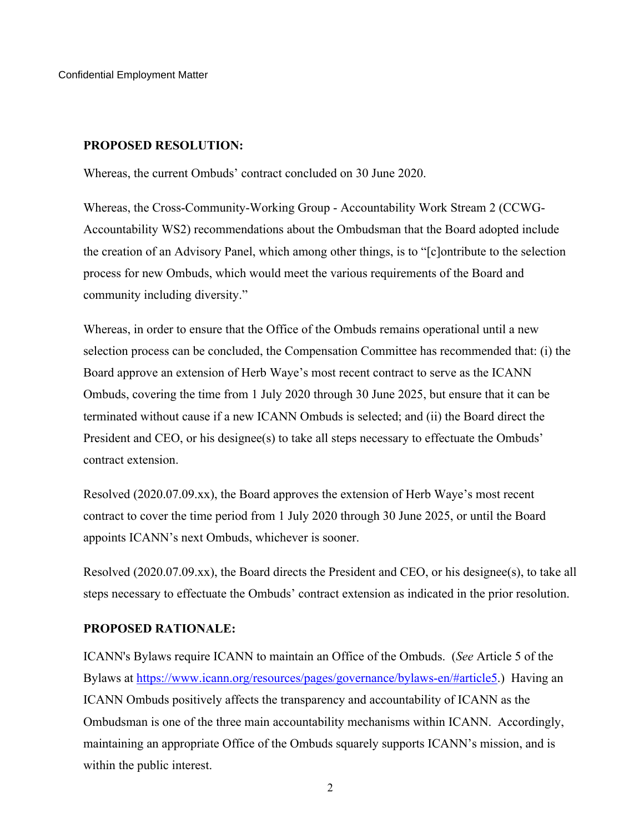Confidential Employment Matter

#### **PROPOSED RESOLUTION:**

Whereas, the current Ombuds' contract concluded on 30 June 2020.

Whereas, the Cross-Community-Working Group - Accountability Work Stream 2 (CCWG-Accountability WS2) recommendations about the Ombudsman that the Board adopted include the creation of an Advisory Panel, which among other things, is to "[c]ontribute to the selection process for new Ombuds, which would meet the various requirements of the Board and community including diversity."

Whereas, in order to ensure that the Office of the Ombuds remains operational until a new selection process can be concluded, the Compensation Committee has recommended that: (i) the Board approve an extension of Herb Waye's most recent contract to serve as the ICANN Ombuds, covering the time from 1 July 2020 through 30 June 2025, but ensure that it can be terminated without cause if a new ICANN Ombuds is selected; and (ii) the Board direct the President and CEO, or his designee(s) to take all steps necessary to effectuate the Ombuds' contract extension.

Resolved (2020.07.09.xx), the Board approves the extension of Herb Waye's most recent contract to cover the time period from 1 July 2020 through 30 June 2025, or until the Board appoints ICANN's next Ombuds, whichever is sooner.

Resolved (2020.07.09.xx), the Board directs the President and CEO, or his designee(s), to take all steps necessary to effectuate the Ombuds' contract extension as indicated in the prior resolution.

### **PROPOSED RATIONALE:**

ICANN's Bylaws require ICANN to maintain an Office of the Ombuds. (*See* Article 5 of the Bylaws at https://www.icann.org/resources/pages/governance/bylaws-en/#article5.) Having an ICANN Ombuds positively affects the transparency and accountability of ICANN as the Ombudsman is one of the three main accountability mechanisms within ICANN. Accordingly, maintaining an appropriate Office of the Ombuds squarely supports ICANN's mission, and is within the public interest.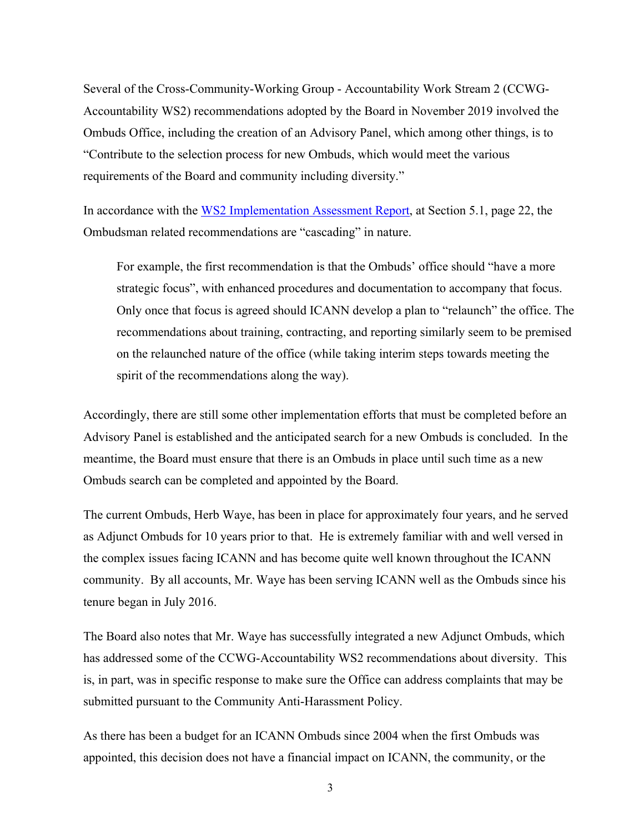Several of the Cross-Community-Working Group - Accountability Work Stream 2 (CCWG-Accountability WS2) recommendations adopted by the Board in November 2019 involved the Ombuds Office, including the creation of an Advisory Panel, which among other things, is to "Contribute to the selection process for new Ombuds, which would meet the various requirements of the Board and community including diversity."

In accordance with the WS2 Implementation Assessment Report, at Section 5.1, page 22, the Ombudsman related recommendations are "cascading" in nature.

For example, the first recommendation is that the Ombuds' office should "have a more strategic focus", with enhanced procedures and documentation to accompany that focus. Only once that focus is agreed should ICANN develop a plan to "relaunch" the office. The recommendations about training, contracting, and reporting similarly seem to be premised on the relaunched nature of the office (while taking interim steps towards meeting the spirit of the recommendations along the way).

Accordingly, there are still some other implementation efforts that must be completed before an Advisory Panel is established and the anticipated search for a new Ombuds is concluded. In the meantime, the Board must ensure that there is an Ombuds in place until such time as a new Ombuds search can be completed and appointed by the Board.

The current Ombuds, Herb Waye, has been in place for approximately four years, and he served as Adjunct Ombuds for 10 years prior to that. He is extremely familiar with and well versed in the complex issues facing ICANN and has become quite well known throughout the ICANN community. By all accounts, Mr. Waye has been serving ICANN well as the Ombuds since his tenure began in July 2016.

The Board also notes that Mr. Waye has successfully integrated a new Adjunct Ombuds, which has addressed some of the CCWG-Accountability WS2 recommendations about diversity. This is, in part, was in specific response to make sure the Office can address complaints that may be submitted pursuant to the Community Anti-Harassment Policy.

As there has been a budget for an ICANN Ombuds since 2004 when the first Ombuds was appointed, this decision does not have a financial impact on ICANN, the community, or the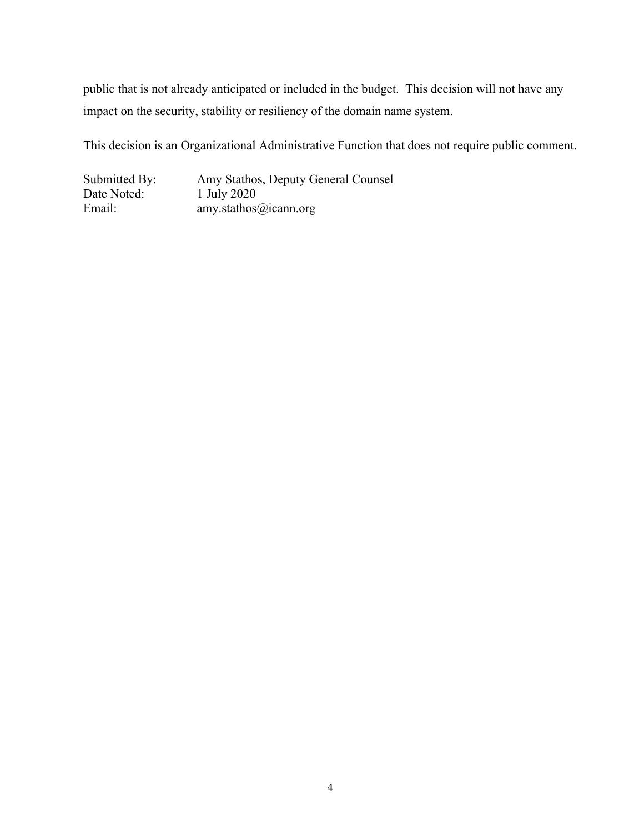public that is not already anticipated or included in the budget. This decision will not have any impact on the security, stability or resiliency of the domain name system.

This decision is an Organizational Administrative Function that does not require public comment.

Submitted By: Amy Stathos, Deputy General Counsel Date Noted: 1 July 2020<br>Email: 2020<br>amv.stathos amy.stathos@icann.org